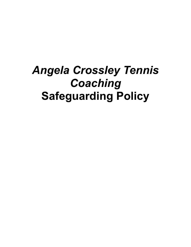# *Angela Crossley Tennis Coaching* **Safeguarding Policy**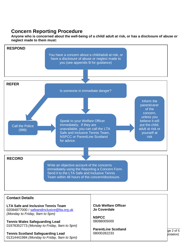### **Concern Reporting Procedure**

**Anyone who is concerned about the well-being of a child/ adult at risk, or has a disclosure of abuse or neglect made to them must:**



#### **Contact Details**

**LTA Safe and Inclusive Tennis Team** 02084877000 / [safeandinclusive@lta.org.uk](mailto:safeguarding@lta.org.uk) *(Monday to Friday, 9am to 5pm)*

**Tennis Wales Safeguarding Lead** 01978352773 *(Monday to Friday, 9am to 5pm)*

**Tennis Scotland Safeguarding Lead**  $\vert$  08000282233  $\vert$  **pislation**)  $\vert$   $\vert$   $\vert$ 01314441984 *(Monday to Friday, 9am to 5pm)*

**Club Welfare Officer Jo Coverdale**

**NSPCC** 08088005000

Policy Transmission Policy Page 2 of 5 **ParentLine Scotland** 08000282233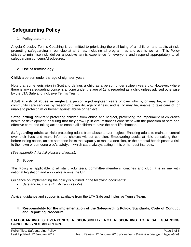## **Safeguarding Policy**

#### **1. Policy statement**

Angela Crossley Tennis Coaching is committed to prioritising the well-being of all children and adults at risk, promoting safeguarding in our club at all times, including all programmes and events we run. This Policy strives to minimise risk, deliver a positive tennis experience for everyone and respond appropriately to all safeguarding concerns/disclosures.

#### **2. Use of terminology**

**Child:** a person under the age of eighteen years.

Note that some legislation in Scotland defines a child as a person under sixteen years old. However, where there is any safeguarding concern, anyone under the age of 18 is regarded as a child unless advised otherwise by the LTA Safe and Inclusive Tennis Team.

**Adult at risk of abuse or neglect:** a person aged eighteen years or over who is, or may be, in need of community care services by reason of disability, age or illness; and is, or may be, unable to take care of, or unable to protect him or herself against abuse or neglect.

**Safeguarding children:** protecting children from abuse and neglect, preventing the impairment of children's health or development, ensuring that they grow up in circumstances consistent with the provision of safe and effective care, and taking action to enable all children to have the best life chances.

**Safeguarding adults at risk:** protecting adults from abuse and/or neglect. Enabling adults to maintain control over their lives and make informed choices without coercion. Empowering adults at risk, consulting them before taking action, unless someone lacks the capacity to make a decision, or their mental health poses a risk to their own or someone else's safety, in which case, always acting in his or her best interests.

*(See appendix A for full glossary of terms)*.

#### **3. Scope**

This Policy is applicable to all staff, volunteers, committee members, coaches and club. It is in line with national legislation and applicable across the UK.

Guidance on implementing the policy is outlined in the following documents:

- *Safe and Inclusive British Tennis toolkit*
- •

Advice, guidance and support is available from the LTA Safe and Inclusive Tennis Team.

#### **4. Responsibility for the implementation of the Safeguarding Policy, Standards, Code of Conduct and Reporting Procedure**

**SAFEGUARDING IS EVERYONE'S RESPONSIBILITY: NOT RESPONDING TO A SAFEGUARDING CONCERN IS NOT AN OPTION.**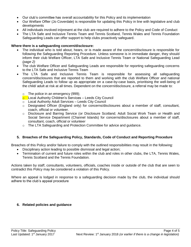- Our club's committee has overall accountability for this Policy and its implementation
- Our Welfare Offier (Jo Coverdale) is responsible for updating this Policy in line with legislative and club developments
- All individuals involved in/present at the club are required to adhere to the Policy and Code of Conduct
- The LTA Safe and Inclusive Tennis Team and Tennis Scotland, Tennis Wales and Tennis Foundation Safeguarding Leads can offer support to help clubs proactively safeguard.

#### **Where there is a safeguarding concern/disclosure:**

- The individual who is told about, hears, or is made aware of the concern/disclosure is responsible for following the Safeguarding Reporting Procedure. Unless someone is in immediate danger, they should inform their club Welfare Officer, LTA Safe and Inclusive Tennis Team or National Safeguarding Lead *(page 2)*
- The club Welfare Officer and Safeguarding Leads are responsible for reporting safeguarding concerns to the LTA Safe and Inclusive Tennis Team
- The LTA Safe and Inclusive Tennis Team is responsible for assessing all safeguarding concern/disclosures that are reported to them and working with the club Welfare Officer and national Safeguarding Leads to follow up as appropriate on a case-by-case basis, prioritising the well-being of the child/ adult at risk at all times. Dependent on the concern/disclosure, a referral may be made to:
	- $\circ$  The police in an emergency (999);
	- **o** Local Authority Children's Services Leeds City Council
	- o Local Authority Adult Services Leeds City Council
	- $\circ$  Designated Officer (England only) for concerns/disclosures about a member of staff, consultant, coach, official or volunteer.
	- o Disclosure and Barring Service (or Disclosure Scotland; Adult Social Work Team or Health and Social Service Department (Channel Islands) for concerns/disclosures about a member of staff, consultant, coach, official or volunteer
	- $\circ$  The LTA Safeguarding and Protection Committee for advice and guidance.

#### **5. Breaches of the Safeguarding Policy, Standards, Code of Conduct and Reporting Procedure**

Breaches of this Policy and/or failure to comply with the outlined responsibilities may result in the following:

- Disciplinary action leading to possible dismissal and legal action;
- Termination of current and future roles within the club and roles in other clubs, the LTA, Tennis Wales, Tennis Scotland and the Tennis Foundation*.*

Actions taken by staff, consultants, volunteers, officials, coaches inside or outside of the club that are seen to contradict this Policy may be considered a violation of this Policy.

Where an appeal is lodged in response to a safeguarding decision made by the club, the individual should adhere to the club's appeal procedure

#### **6. Related policies and guidance**